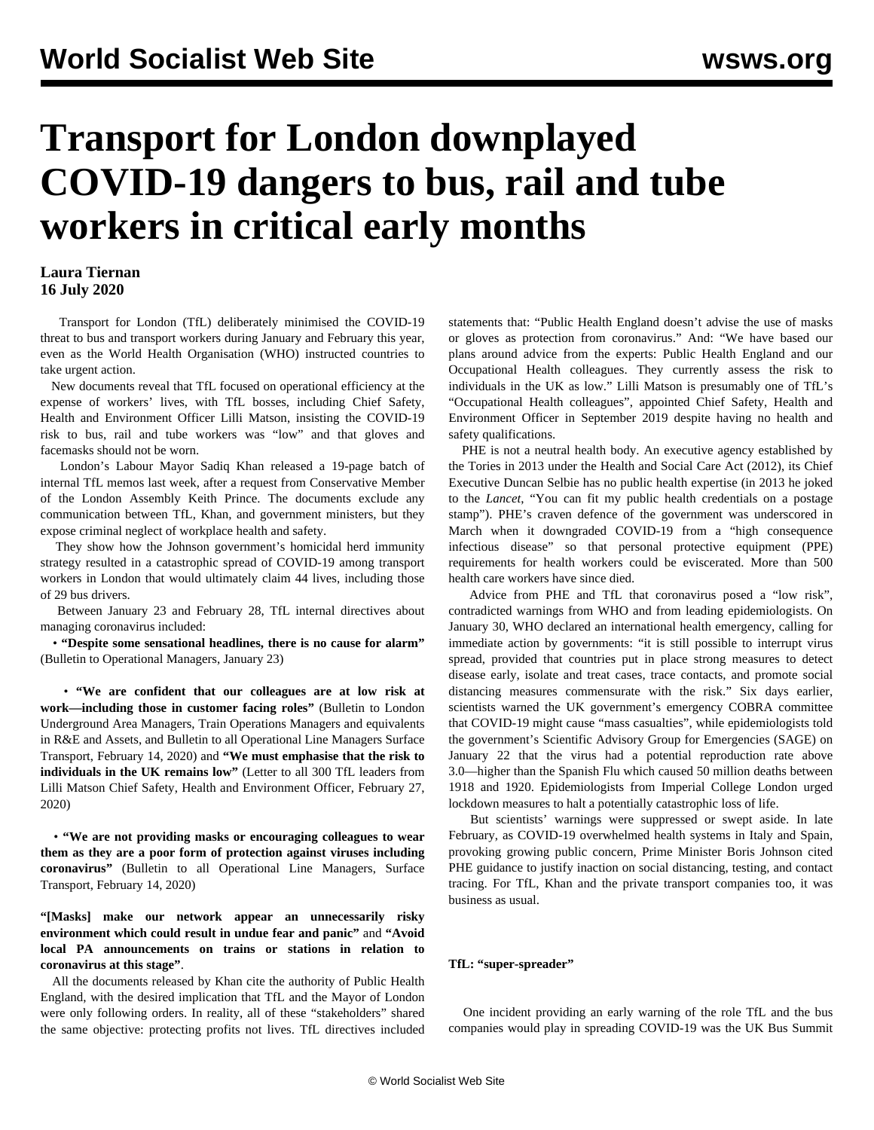# **Transport for London downplayed COVID-19 dangers to bus, rail and tube workers in critical early months**

### **Laura Tiernan 16 July 2020**

 Transport for London (TfL) deliberately minimised the COVID-19 threat to bus and transport workers during January and February this year, even as the World Health Organisation (WHO) instructed countries to take urgent action.

 New documents reveal that TfL focused on operational efficiency at the expense of workers' lives, with TfL bosses, including Chief Safety, Health and Environment Officer Lilli Matson, insisting the COVID-19 risk to bus, rail and tube workers was "low" and that gloves and facemasks should not be worn.

 London's Labour Mayor Sadiq Khan released a 19-page batch of internal TfL memos last week, after a request from Conservative Member of the London Assembly Keith Prince. The documents exclude any communication between TfL, Khan, and government ministers, but they expose criminal neglect of workplace health and safety.

 They show how the Johnson government's homicidal herd immunity strategy resulted in a catastrophic spread of COVID-19 among transport workers in London that would ultimately claim 44 lives, including those of 29 bus drivers.

 Between January 23 and February 28, TfL internal directives about managing coronavirus included:

 • **"Despite some sensational headlines, there is no cause for alarm"** (Bulletin to Operational Managers, January 23)

 • **"We are confident that our colleagues are at low risk at work—including those in customer facing roles"** (Bulletin to London Underground Area Managers, Train Operations Managers and equivalents in R&E and Assets, and Bulletin to all Operational Line Managers Surface Transport, February 14, 2020) and **"We must emphasise that the risk to individuals in the UK remains low"** (Letter to all 300 TfL leaders from Lilli Matson Chief Safety, Health and Environment Officer, February 27, 2020)

 • **"We are not providing masks or encouraging colleagues to wear them as they are a poor form of protection against viruses including coronavirus"** (Bulletin to all Operational Line Managers, Surface Transport, February 14, 2020)

**"[Masks] make our network appear an unnecessarily risky environment which could result in undue fear and panic"** and **"Avoid local PA announcements on trains or stations in relation to coronavirus at this stage"**.

 All the documents released by Khan cite the authority of Public Health England, with the desired implication that TfL and the Mayor of London were only following orders. In reality, all of these "stakeholders" shared the same objective: protecting profits not lives. TfL directives included statements that: "Public Health England doesn't advise the use of masks or gloves as protection from coronavirus." And: "We have based our plans around advice from the experts: Public Health England and our Occupational Health colleagues. They currently assess the risk to individuals in the UK as low." Lilli Matson is presumably one of TfL's "Occupational Health colleagues", appointed Chief Safety, Health and Environment Officer in September 2019 despite having no health and safety qualifications.

 PHE is not a neutral health body. An executive agency established by the Tories in 2013 under the Health and Social Care Act (2012), its Chief Executive Duncan Selbie has no public health expertise (in 2013 he joked to the *Lancet*, "You can fit my public health credentials on a postage stamp"). PHE's craven defence of the government was underscored in March when it downgraded COVID-19 from a "high consequence infectious disease" so that personal protective equipment (PPE) requirements for health workers could be eviscerated. More than 500 health care workers have since died.

 Advice from PHE and TfL that coronavirus posed a "low risk", contradicted warnings from WHO and from leading epidemiologists. On January 30, WHO declared an international health emergency, calling for immediate action by governments: "it is still possible to interrupt virus spread, provided that countries put in place strong measures to detect disease early, isolate and treat cases, trace contacts, and promote social distancing measures commensurate with the risk." Six days earlier, scientists warned the UK government's emergency COBRA committee that COVID-19 might cause "mass casualties", while epidemiologists told the government's Scientific Advisory Group for Emergencies (SAGE) on January 22 that the virus had a potential reproduction rate above 3.0—higher than the Spanish Flu which caused 50 million deaths between 1918 and 1920. Epidemiologists from Imperial College London urged lockdown measures to halt a potentially catastrophic loss of life.

 But scientists' warnings were suppressed or swept aside. In late February, as COVID-19 overwhelmed health systems in Italy and Spain, provoking growing public concern, Prime Minister Boris Johnson cited PHE guidance to justify inaction on social distancing, testing, and contact tracing. For TfL, Khan and the private transport companies too, it was business as usual.

#### **TfL: "super-spreader"**

 One incident providing an early warning of the role TfL and the bus companies would play in spreading COVID-19 was the UK Bus Summit